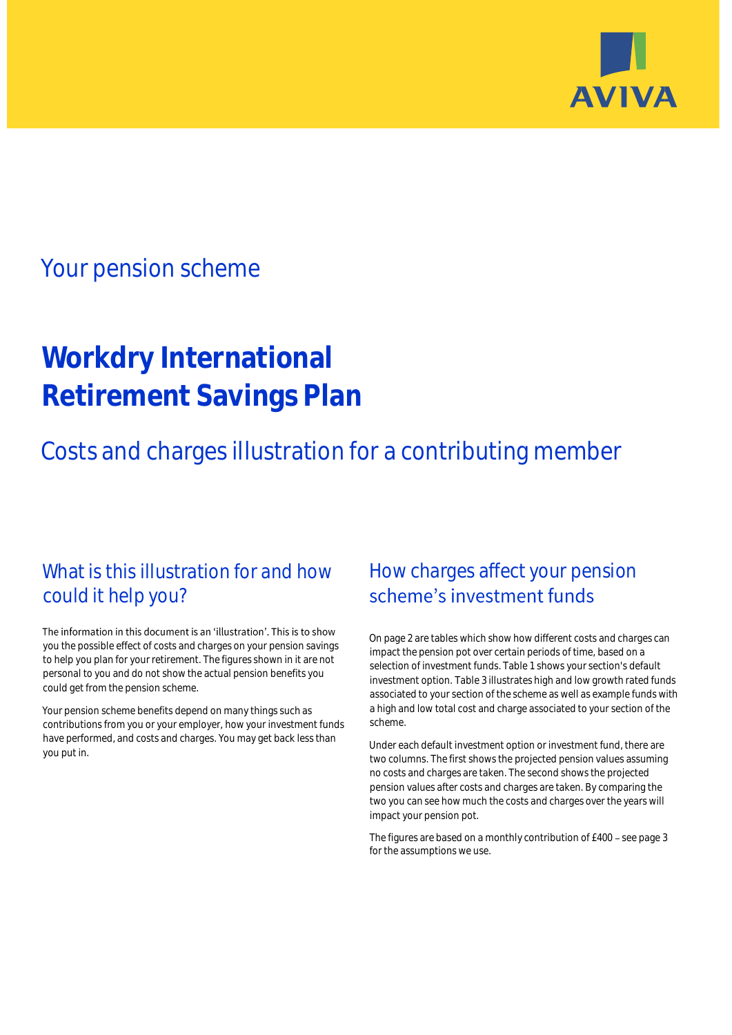

## Your pension scheme

# **Workdry International Retirement Savings Plan**

Costs and charges illustration for a contributing member

### What is this illustration for and how could it help you?

#### The information in this document is an 'illustration'. This is to show you the possible effect of costs and charges on your pension savings to help you plan for your retirement. The figures shown in it are not personal to you and do not show the actual pension benefits you could get from the pension scheme.

Your pension scheme benefits depend on many things such as contributions from you or your employer, how your investment funds have performed, and costs and charges. You may get back less than you put in.

### How charges affect your pension scheme's investment funds

On page 2 are tables which show how different costs and charges can impact the pension pot over certain periods of time, based on a selection of investment funds. Table 1 shows your section's default investment option. Table 3 illustrates high and low growth rated funds associated to your section of the scheme as well as example funds with a high and low total cost and charge associated to your section of the scheme.

Under each default investment option or investment fund, there are two columns. The first shows the projected pension values assuming no costs and charges are taken. The second shows the projected pension values after costs and charges are taken. By comparing the two you can see how much the costs and charges over the years will impact your pension pot.

The figures are based on a monthly contribution of £400 - see page 3 for the assumptions we use.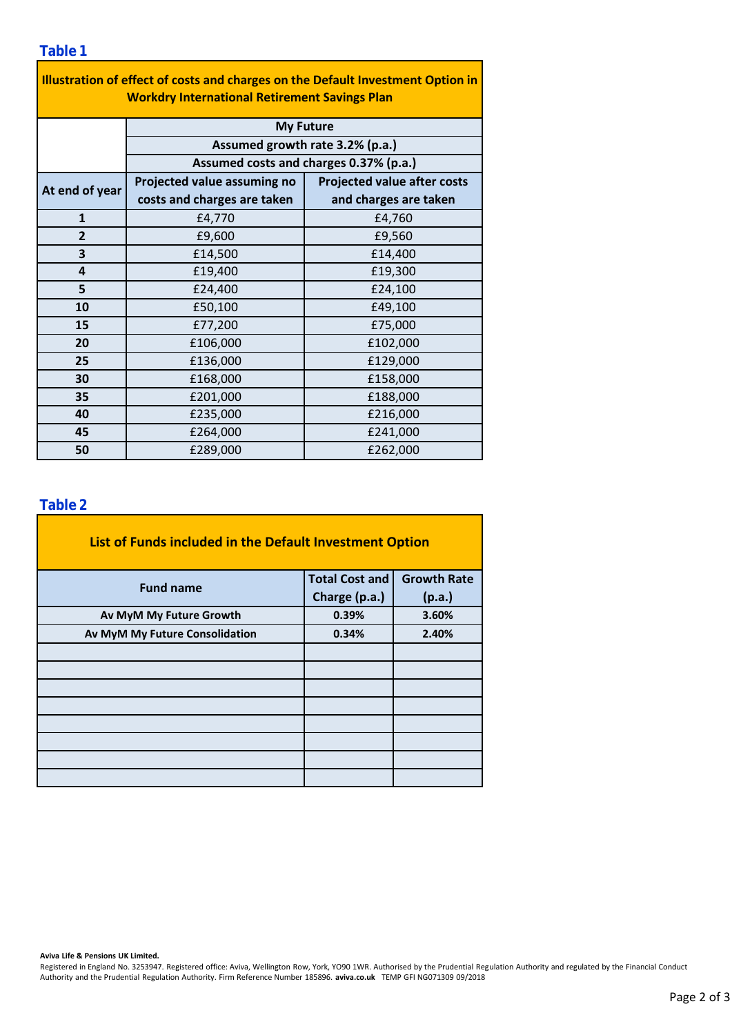| Illustration of effect of costs and charges on the Default Investment Option in<br><b>Workdry International Retirement Savings Plan</b> |                                        |                                    |  |  |  |  |
|-----------------------------------------------------------------------------------------------------------------------------------------|----------------------------------------|------------------------------------|--|--|--|--|
|                                                                                                                                         | <b>My Future</b>                       |                                    |  |  |  |  |
|                                                                                                                                         | Assumed growth rate 3.2% (p.a.)        |                                    |  |  |  |  |
|                                                                                                                                         | Assumed costs and charges 0.37% (p.a.) |                                    |  |  |  |  |
| At end of year                                                                                                                          | Projected value assuming no            | <b>Projected value after costs</b> |  |  |  |  |
|                                                                                                                                         | costs and charges are taken            | and charges are taken              |  |  |  |  |
| $\mathbf{1}$                                                                                                                            | £4,770                                 | £4,760                             |  |  |  |  |
| $\overline{2}$                                                                                                                          | £9,600                                 | £9,560                             |  |  |  |  |
| 3                                                                                                                                       | £14,500                                | £14,400                            |  |  |  |  |
| 4                                                                                                                                       | £19,400                                | £19,300                            |  |  |  |  |
| 5                                                                                                                                       | £24,400                                | £24,100                            |  |  |  |  |
| 10                                                                                                                                      | £50,100                                | £49,100                            |  |  |  |  |
| 15                                                                                                                                      | £77,200                                | £75,000                            |  |  |  |  |
| 20                                                                                                                                      | £106,000                               | £102,000                           |  |  |  |  |
| 25                                                                                                                                      | £136,000                               | £129,000                           |  |  |  |  |
| 30                                                                                                                                      | £168,000                               | £158,000                           |  |  |  |  |
| 35                                                                                                                                      | £201,000                               | £188,000                           |  |  |  |  |
| 40                                                                                                                                      | £235,000                               | £216,000                           |  |  |  |  |
| 45                                                                                                                                      | £264,000                               | £241,000                           |  |  |  |  |
| 50                                                                                                                                      | £289,000                               | £262,000                           |  |  |  |  |

### **Table 2**

| List of Funds included in the Default Investment Option |                       |                    |
|---------------------------------------------------------|-----------------------|--------------------|
| <b>Fund name</b>                                        | <b>Total Cost and</b> | <b>Growth Rate</b> |
|                                                         | Charge (p.a.)         | (p.a.)             |
| Av MyM My Future Growth                                 | 0.39%                 | 3.60%              |
| Av MyM My Future Consolidation                          | 0.34%                 | 2.40%              |
|                                                         |                       |                    |
|                                                         |                       |                    |
|                                                         |                       |                    |
|                                                         |                       |                    |
|                                                         |                       |                    |
|                                                         |                       |                    |
|                                                         |                       |                    |
|                                                         |                       |                    |

#### **Aviva Life & Pensions UK Limited.**

Registered in England No. 3253947. Registered office: Aviva, Wellington Row, York, YO90 1WR. Authorised by the Prudential Regulation Authority and regulated by the Financial Conduct Authority and the Prudential Regulation Authority. Firm Reference Number 185896. **aviva.co.uk** TEMP GFI NG071309 09/2018